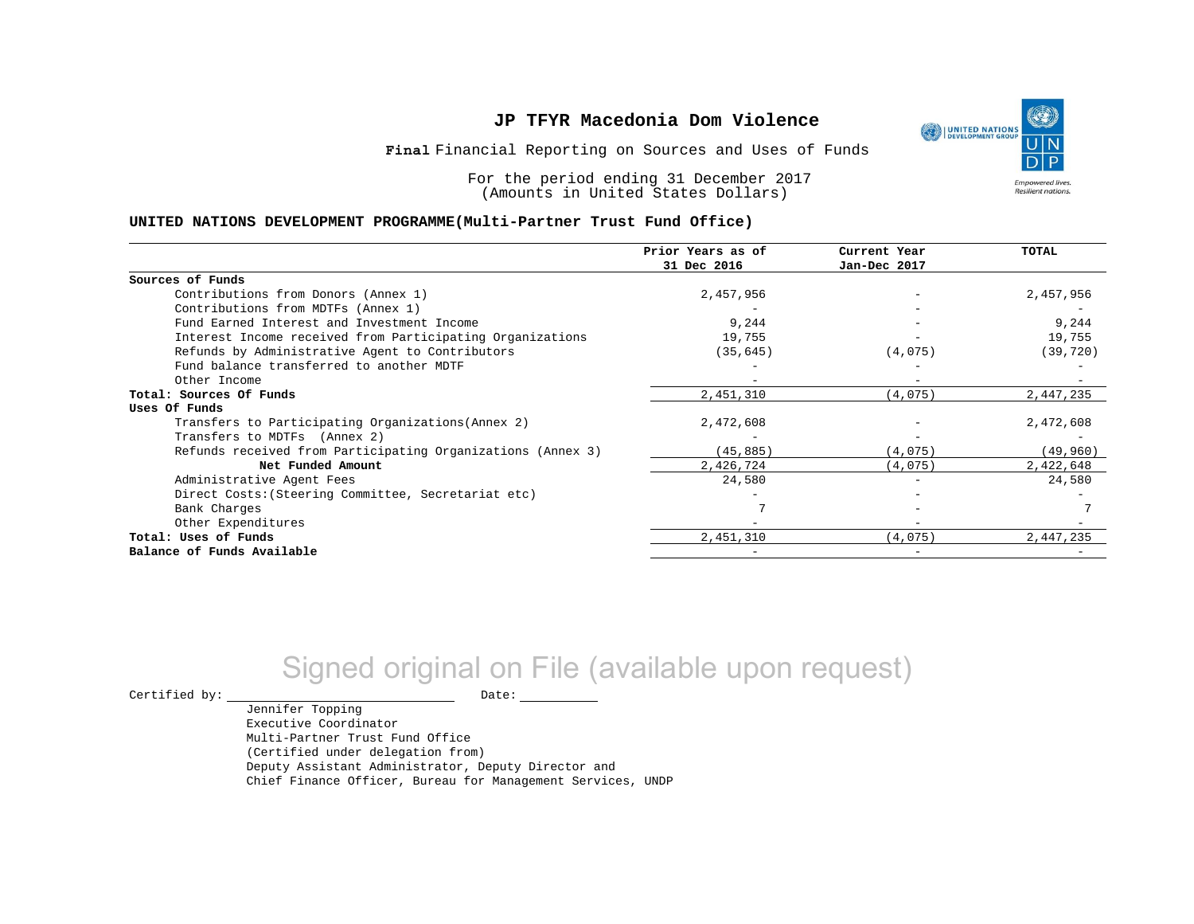Financial Reporting on Sources and Uses of Funds **Final**

For the period ending 31 December 2017 (Amounts in United States Dollars)

#### **UNITED NATIONS DEVELOPMENT PROGRAMME(Multi-Partner Trust Fund Office)**

|                                                             | Prior Years as of<br>31 Dec 2016 | Current Year<br>Jan-Dec 2017 | <b>TOTAL</b> |
|-------------------------------------------------------------|----------------------------------|------------------------------|--------------|
|                                                             |                                  |                              |              |
| Sources of Funds                                            |                                  |                              |              |
| Contributions from Donors (Annex 1)                         | 2,457,956                        |                              | 2,457,956    |
| Contributions from MDTFs (Annex 1)                          |                                  |                              |              |
| Fund Earned Interest and Investment Income                  | 9,244                            |                              | 9,244        |
| Interest Income received from Participating Organizations   | 19,755                           |                              | 19,755       |
| Refunds by Administrative Agent to Contributors             | (35, 645)                        | (4,075)                      | (39, 720)    |
| Fund balance transferred to another MDTF                    |                                  |                              |              |
| Other Income                                                |                                  |                              |              |
| Total: Sources Of Funds                                     | 2,451,310                        | (4,075)                      | 2,447,235    |
| Uses Of Funds                                               |                                  |                              |              |
| Transfers to Participating Organizations (Annex 2)          | 2,472,608                        |                              | 2,472,608    |
| Transfers to MDTFs (Annex 2)                                |                                  |                              |              |
| Refunds received from Participating Organizations (Annex 3) | (45, 885)                        | (4,075)                      | (49,960)     |
| Net Funded Amount                                           | 2,426,724                        | (4,075)                      | 2,422,648    |
| Administrative Agent Fees                                   | 24,580                           |                              | 24,580       |
| Direct Costs: (Steering Committee, Secretariat etc)         |                                  |                              |              |
| Bank Charges                                                |                                  |                              |              |
| Other Expenditures                                          |                                  |                              |              |
| Total: Uses of Funds                                        | 2,451,310                        | (4,075)                      | 2,447,235    |
| Balance of Funds Available                                  |                                  |                              |              |

# Signed original on File (available upon request)

Jennifer Topping

 $\begin{picture}(180,180)(0,0) \put(0,0){\vector(1,0){180}} \put(15,0){\vector(1,0){180}} \put(15,0){\vector(1,0){180}} \put(15,0){\vector(1,0){180}} \put(15,0){\vector(1,0){180}} \put(15,0){\vector(1,0){180}} \put(15,0){\vector(1,0){180}} \put(15,0){\vector(1,0){180}} \put(15,0){\vector(1,0){180}} \put(15,0){\vector(1,0){180}} \put(15,0){\vector(1,0$ 

Executive Coordinator Multi-Partner Trust Fund Office (Certified under delegation from) Deputy Assistant Administrator, Deputy Director and Chief Finance Officer, Bureau for Management Services, UNDP

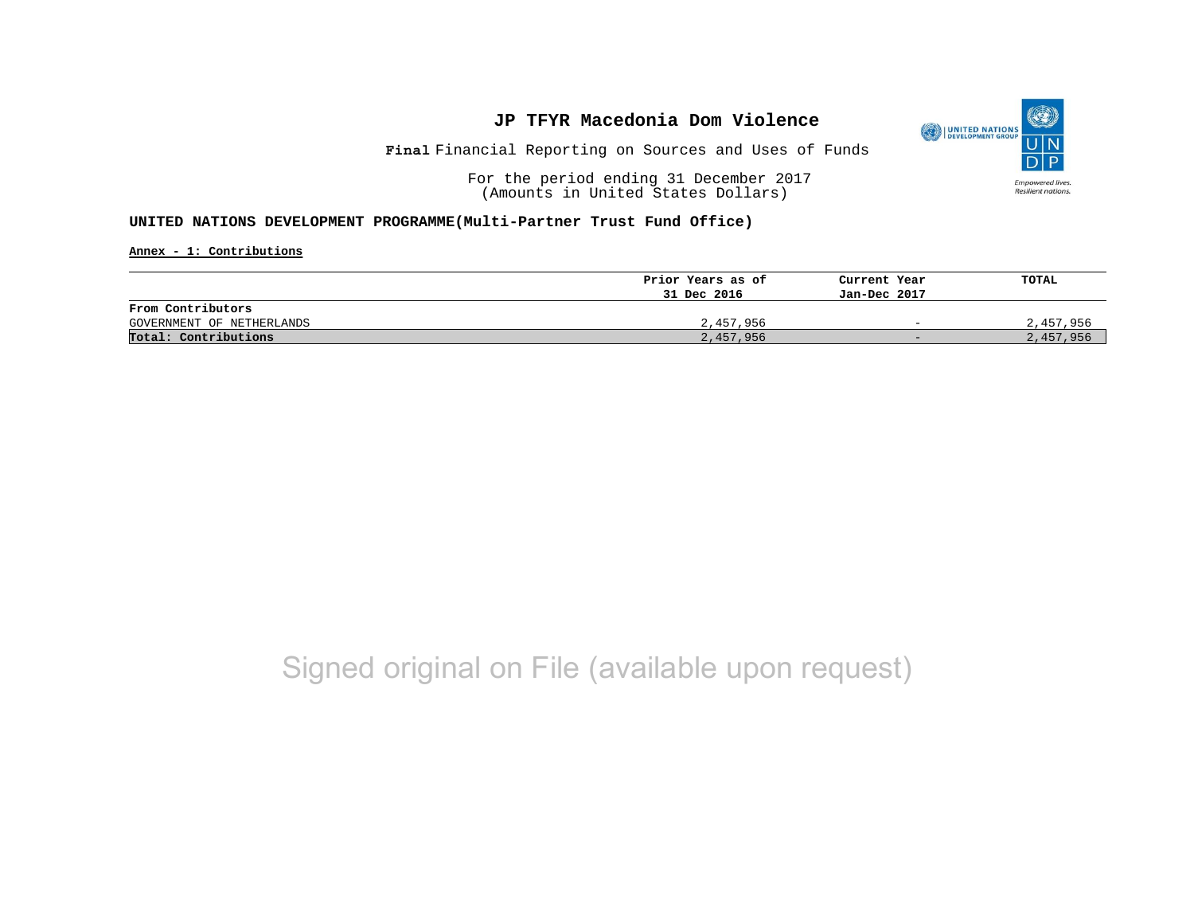

Financial Reporting on Sources and Uses of Funds **Final**

For the period ending 31 December 2017 (Amounts in United States Dollars)

### **UNITED NATIONS DEVELOPMENT PROGRAMME(Multi-Partner Trust Fund Office)**

**Annex - 1: Contributions**

|                           | Prior Years as of | Current Year             | TOTAL     |
|---------------------------|-------------------|--------------------------|-----------|
|                           | 31 Dec 2016       | Jan-Dec 2017             |           |
| From Contributors         |                   |                          |           |
| GOVERNMENT OF NETHERLANDS | 2,457,956         | $\overline{\phantom{0}}$ | 2,457,956 |
| Total: Contributions      | 2,457,956         | $-$                      | 2,457,956 |

## Signed original on File (available upon request)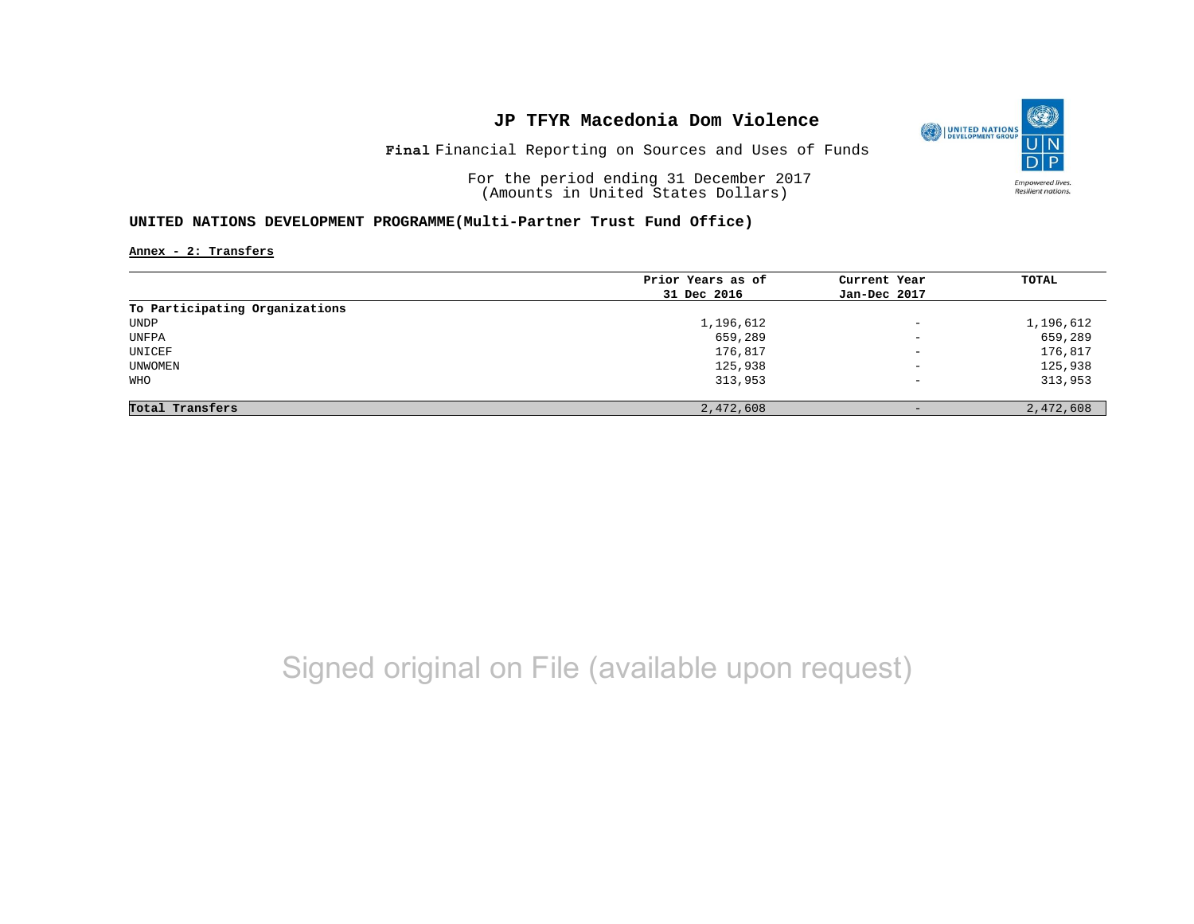

Financial Reporting on Sources and Uses of Funds **Final**

For the period ending 31 December 2017 (Amounts in United States Dollars)

### **UNITED NATIONS DEVELOPMENT PROGRAMME(Multi-Partner Trust Fund Office)**

**Annex - 2: Transfers**

|                                | Prior Years as of | Current Year             | TOTAL     |
|--------------------------------|-------------------|--------------------------|-----------|
|                                | 31 Dec 2016       | Jan-Dec 2017             |           |
| To Participating Organizations |                   |                          |           |
| UNDP                           | 1,196,612         | $\overline{\phantom{a}}$ | 1,196,612 |
| UNFPA                          | 659,289           | $\overline{\phantom{0}}$ | 659,289   |
| UNICEF                         | 176,817           | $\overline{\phantom{m}}$ | 176,817   |
| UNWOMEN                        | 125,938           | $\qquad \qquad -$        | 125,938   |
| WHO                            | 313,953           | $\qquad \qquad -$        | 313,953   |
| Total Transfers                | 2,472,608         |                          | 2,472,608 |

# Signed original on File (available upon request)